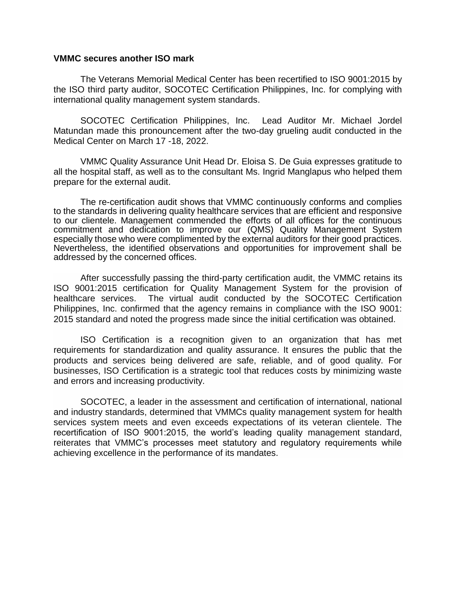## **VMMC secures another ISO mark**

The Veterans Memorial Medical Center has been recertified to ISO 9001:2015 by the ISO third party auditor, SOCOTEC Certification Philippines, Inc. for complying with international quality management system standards.

SOCOTEC Certification Philippines, Inc. Lead Auditor Mr. Michael Jordel Matundan made this pronouncement after the two-day grueling audit conducted in the Medical Center on March 17 -18, 2022.

VMMC Quality Assurance Unit Head Dr. Eloisa S. De Guia expresses gratitude to all the hospital staff, as well as to the consultant Ms. Ingrid Manglapus who helped them prepare for the external audit.

The re-certification audit shows that VMMC continuously conforms and complies to the standards in delivering quality healthcare services that are efficient and responsive to our clientele. Management commended the efforts of all offices for the continuous commitment and dedication to improve our (QMS) Quality Management System especially those who were complimented by the external auditors for their good practices. Nevertheless, the identified observations and opportunities for improvement shall be addressed by the concerned offices.

After successfully passing the third-party certification audit, the VMMC retains its ISO 9001:2015 certification for Quality Management System for the provision of healthcare services. The virtual audit conducted by the SOCOTEC Certification Philippines, Inc. confirmed that the agency remains in compliance with the ISO 9001: 2015 standard and noted the progress made since the initial certification was obtained.

ISO Certification is a recognition given to an organization that has met requirements for standardization and quality assurance. It ensures the public that the products and services being delivered are safe, reliable, and of good quality. For businesses, ISO Certification is a strategic tool that reduces costs by minimizing waste and errors and increasing productivity.

SOCOTEC, a leader in the assessment and certification of international, national and industry standards, determined that VMMCs quality management system for health services system meets and even exceeds expectations of its veteran clientele. The recertification of ISO 9001:2015, the world's leading quality management standard, reiterates that VMMC's processes meet statutory and regulatory requirements while achieving excellence in the performance of its mandates.